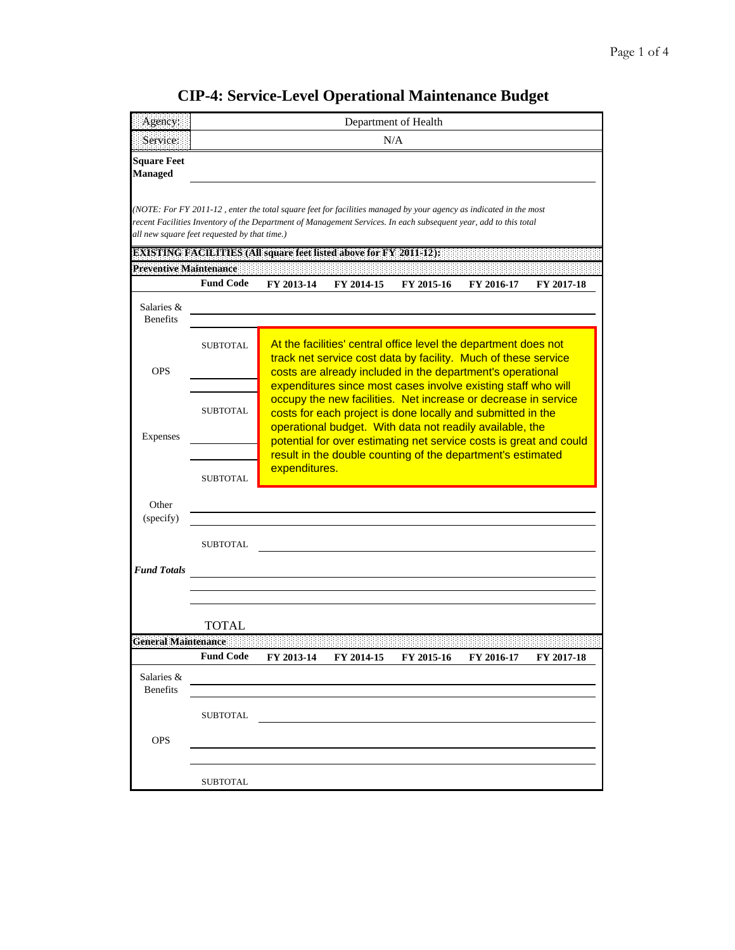| Agency:                              | Department of Health                         |               |                                                                                                                                                                                                 |                                                                                                                                                                                                                                                                                                                                  |                   |            |  |  |  |
|--------------------------------------|----------------------------------------------|---------------|-------------------------------------------------------------------------------------------------------------------------------------------------------------------------------------------------|----------------------------------------------------------------------------------------------------------------------------------------------------------------------------------------------------------------------------------------------------------------------------------------------------------------------------------|-------------------|------------|--|--|--|
| Service:                             | N/A                                          |               |                                                                                                                                                                                                 |                                                                                                                                                                                                                                                                                                                                  |                   |            |  |  |  |
| <b>Square Feet</b><br><b>Managed</b> |                                              |               |                                                                                                                                                                                                 |                                                                                                                                                                                                                                                                                                                                  |                   |            |  |  |  |
|                                      | all new square feet requested by that time.) |               | <b>EXISTING FACILITIES (All square feet listed above for FY 2011-12):</b>                                                                                                                       | (NOTE: For FY 2011-12, enter the total square feet for facilities managed by your agency as indicated in the most<br>recent Facilities Inventory of the Department of Management Services. In each subsequent year, add to this total                                                                                            |                   |            |  |  |  |
| <b>Preventive Maintenance</b>        | <b>Fund Code</b>                             | FY 2013-14    | FY 2014-15                                                                                                                                                                                      | FY 2015-16                                                                                                                                                                                                                                                                                                                       | FY 2016-17        | FY 2017-18 |  |  |  |
| Salaries &<br><b>Benefits</b>        |                                              |               |                                                                                                                                                                                                 |                                                                                                                                                                                                                                                                                                                                  |                   |            |  |  |  |
| <b>OPS</b>                           | <b>SUBTOTAL</b>                              |               | At the facilities' central office level the department does not<br>track net service cost data by facility. Much of these service<br>costs are already included in the department's operational |                                                                                                                                                                                                                                                                                                                                  |                   |            |  |  |  |
| Expenses                             | <b>SUBTOTAL</b>                              |               |                                                                                                                                                                                                 | expenditures since most cases involve existing staff who will<br>occupy the new facilities. Net increase or decrease in service<br>costs for each project is done locally and submitted in the<br>operational budget. With data not readily available, the<br>potential for over estimating net service costs is great and could |                   |            |  |  |  |
|                                      | <b>SUBTOTAL</b>                              | expenditures. |                                                                                                                                                                                                 | result in the double counting of the department's estimated                                                                                                                                                                                                                                                                      |                   |            |  |  |  |
| Other<br>(specify)                   |                                              |               |                                                                                                                                                                                                 |                                                                                                                                                                                                                                                                                                                                  |                   |            |  |  |  |
|                                      | <b>SUBTOTAL</b>                              |               |                                                                                                                                                                                                 |                                                                                                                                                                                                                                                                                                                                  |                   |            |  |  |  |
| <b>Fund Totals</b>                   |                                              |               |                                                                                                                                                                                                 |                                                                                                                                                                                                                                                                                                                                  |                   |            |  |  |  |
|                                      | TOTAL                                        |               |                                                                                                                                                                                                 |                                                                                                                                                                                                                                                                                                                                  |                   |            |  |  |  |
| <b>General Maintenance</b>           | <b>Fund Code</b>                             | FY 2013-14    |                                                                                                                                                                                                 |                                                                                                                                                                                                                                                                                                                                  |                   | FY 2017-18 |  |  |  |
| Salaries &<br><b>Benefits</b>        |                                              |               | FY 2014-15                                                                                                                                                                                      | FY 2015-16                                                                                                                                                                                                                                                                                                                       | <b>FY 2016-17</b> |            |  |  |  |
|                                      | <b>SUBTOTAL</b>                              |               |                                                                                                                                                                                                 |                                                                                                                                                                                                                                                                                                                                  |                   |            |  |  |  |
| <b>OPS</b>                           |                                              |               |                                                                                                                                                                                                 |                                                                                                                                                                                                                                                                                                                                  |                   |            |  |  |  |
|                                      |                                              |               |                                                                                                                                                                                                 |                                                                                                                                                                                                                                                                                                                                  |                   |            |  |  |  |

## **CIP-4: Service-Level Operational Maintenance Budget**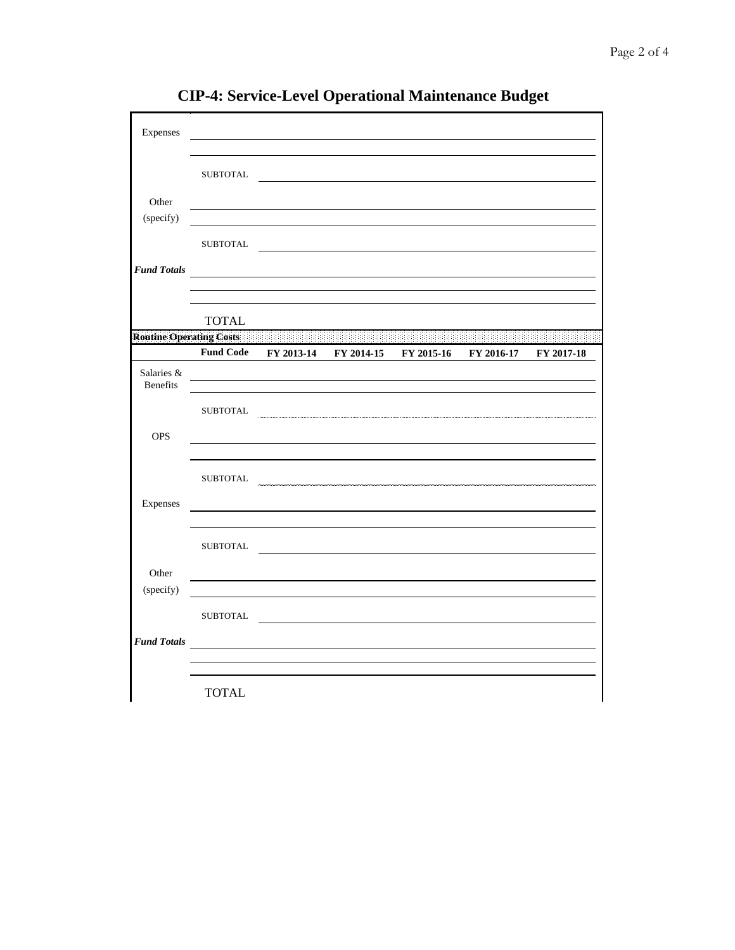| Expenses                       |                  |                                                    |  |            |            |
|--------------------------------|------------------|----------------------------------------------------|--|------------|------------|
|                                | SUBTOTAL         |                                                    |  |            |            |
| Other                          |                  |                                                    |  |            |            |
| (specify)                      |                  |                                                    |  |            |            |
|                                |                  | SUBTOTAL                                           |  |            |            |
| <b>Fund Totals</b>             |                  |                                                    |  |            |            |
|                                | <b>TOTAL</b>     |                                                    |  |            |            |
| <b>Routine Operating Costs</b> | <b>Fund Code</b> | FY 2013-14 FY 2014-15 FY 2015-16                   |  | FY 2016-17 | FY 2017-18 |
| Salaries &<br><b>Benefits</b>  |                  |                                                    |  |            |            |
|                                |                  | SUBTOTAL                                           |  |            |            |
| <b>OPS</b>                     |                  |                                                    |  |            |            |
|                                |                  | SUBTOTAL                                           |  |            |            |
| Expenses                       |                  |                                                    |  |            |            |
|                                |                  | SUBTOTAL                                           |  |            |            |
| Other                          |                  |                                                    |  |            |            |
| (specify)                      |                  |                                                    |  |            |            |
|                                | SUBTOTAL         |                                                    |  |            |            |
| <b>Fund Totals</b>             |                  | <u> 1989 - John Stein, Amerikaansk politiker (</u> |  |            |            |
|                                |                  |                                                    |  |            |            |

**CIP-4: Service-Level Operational Maintenance Budget**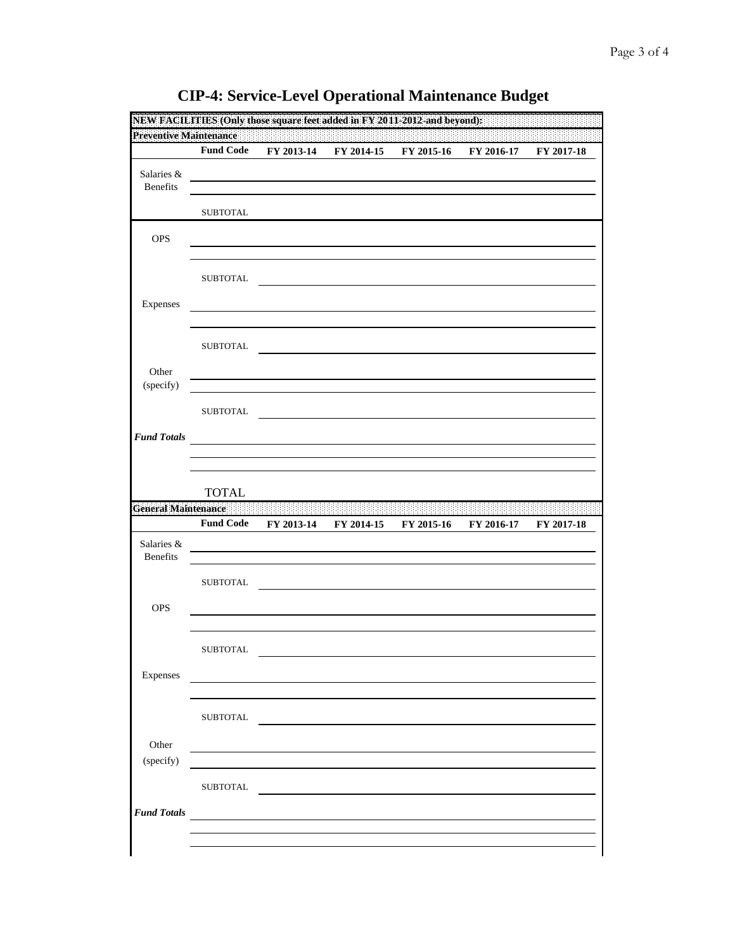|                               | NEW FACILITIES (Only those square feet added in FY 2011-2012-and beyond): |            |            |            |            |            |
|-------------------------------|---------------------------------------------------------------------------|------------|------------|------------|------------|------------|
| <b>Preventive Maintenance</b> | <b>Fund Code</b>                                                          | FY 2013-14 | FY 2014-15 | FY 2015-16 | FY 2016-17 | FY 2017-18 |
|                               |                                                                           |            |            |            |            |            |
| Salaries &<br><b>Benefits</b> |                                                                           |            |            |            |            |            |
|                               |                                                                           |            |            |            |            |            |
|                               | <b>SUBTOTAL</b>                                                           |            |            |            |            |            |
| <b>OPS</b>                    |                                                                           |            |            |            |            |            |
|                               |                                                                           |            |            |            |            |            |
|                               |                                                                           |            |            |            |            |            |
|                               | <b>SUBTOTAL</b>                                                           |            |            |            |            |            |
| Expenses                      |                                                                           |            |            |            |            |            |
|                               |                                                                           |            |            |            |            |            |
|                               |                                                                           |            |            |            |            |            |
|                               | <b>SUBTOTAL</b>                                                           |            |            |            |            |            |
| Other                         |                                                                           |            |            |            |            |            |
| (specify)                     |                                                                           |            |            |            |            |            |
|                               | <b>SUBTOTAL</b>                                                           |            |            |            |            |            |
|                               |                                                                           |            |            |            |            |            |
| <b>Fund Totals</b>            |                                                                           |            |            |            |            |            |
|                               |                                                                           |            |            |            |            |            |
|                               |                                                                           |            |            |            |            |            |
|                               |                                                                           |            |            |            |            |            |
|                               | <b>TOTAL</b>                                                              |            |            |            |            |            |
|                               |                                                                           |            |            |            |            |            |
|                               | <b>Fund Code</b>                                                          | FY 2013-14 | FY 2014-15 | FY 2015-16 | FY 2016-17 | FY 2017-18 |
| Salaries &                    |                                                                           |            |            |            |            |            |
| <b>Benefits</b>               |                                                                           |            |            |            |            |            |
|                               | <b>SUBTOTAL</b>                                                           |            |            |            |            |            |
|                               |                                                                           |            |            |            |            |            |
| <b>OPS</b>                    |                                                                           |            |            |            |            |            |
|                               |                                                                           |            |            |            |            |            |
| <b>General Maintenance</b>    | SUBTOTAL                                                                  |            |            |            |            |            |
|                               |                                                                           |            |            |            |            |            |
| Expenses                      |                                                                           |            |            |            |            |            |
|                               |                                                                           |            |            |            |            |            |
|                               | <b>SUBTOTAL</b>                                                           |            |            |            |            |            |
|                               |                                                                           |            |            |            |            |            |
| Other                         |                                                                           |            |            |            |            |            |
| (specify)                     |                                                                           |            |            |            |            |            |
|                               | <b>SUBTOTAL</b>                                                           |            |            |            |            |            |
| <b>Fund Totals</b>            |                                                                           |            |            |            |            |            |

## **CIP-4: Service-Level Operational Maintenance Budget**